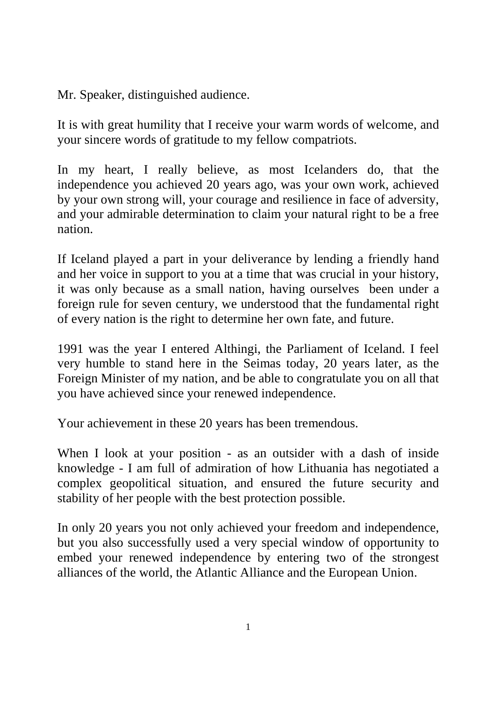Mr. Speaker, distinguished audience.

It is with great humility that I receive your warm words of welcome, and your sincere words of gratitude to my fellow compatriots.

In my heart, I really believe, as most Icelanders do, that the independence you achieved 20 years ago, was your own work, achieved by your own strong will, your courage and resilience in face of adversity, and your admirable determination to claim your natural right to be a free nation.

If Iceland played a part in your deliverance by lending a friendly hand and her voice in support to you at a time that was crucial in your history, it was only because as a small nation, having ourselves been under a foreign rule for seven century, we understood that the fundamental right of every nation is the right to determine her own fate, and future.

1991 was the year I entered Althingi, the Parliament of Iceland. I feel very humble to stand here in the Seimas today, 20 years later, as the Foreign Minister of my nation, and be able to congratulate you on all that you have achieved since your renewed independence.

Your achievement in these 20 years has been tremendous.

When I look at your position - as an outsider with a dash of inside knowledge - I am full of admiration of how Lithuania has negotiated a complex geopolitical situation, and ensured the future security and stability of her people with the best protection possible.

In only 20 years you not only achieved your freedom and independence, but you also successfully used a very special window of opportunity to embed your renewed independence by entering two of the strongest alliances of the world, the Atlantic Alliance and the European Union.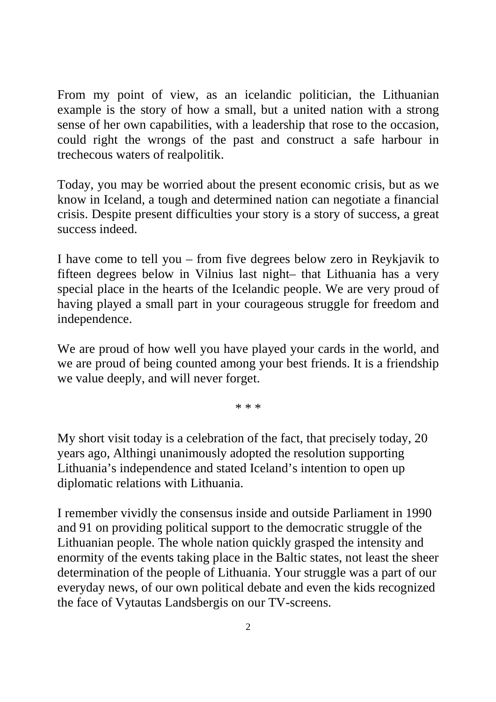From my point of view, as an icelandic politician, the Lithuanian example is the story of how a small, but a united nation with a strong sense of her own capabilities, with a leadership that rose to the occasion, could right the wrongs of the past and construct a safe harbour in trechecous waters of realpolitik.

Today, you may be worried about the present economic crisis, but as we know in Iceland, a tough and determined nation can negotiate a financial crisis. Despite present difficulties your story is a story of success, a great success indeed.

I have come to tell you – from five degrees below zero in Reykjavik to fifteen degrees below in Vilnius last night– that Lithuania has a very special place in the hearts of the Icelandic people. We are very proud of having played a small part in your courageous struggle for freedom and independence.

We are proud of how well you have played your cards in the world, and we are proud of being counted among your best friends. It is a friendship we value deeply, and will never forget.

\* \* \*

My short visit today is a celebration of the fact, that precisely today, 20 years ago, Althingi unanimously adopted the resolution supporting Lithuania's independence and stated Iceland's intention to open up diplomatic relations with Lithuania.

I remember vividly the consensus inside and outside Parliament in 1990 and 91 on providing political support to the democratic struggle of the Lithuanian people. The whole nation quickly grasped the intensity and enormity of the events taking place in the Baltic states, not least the sheer determination of the people of Lithuania. Your struggle was a part of our everyday news, of our own political debate and even the kids recognized the face of Vytautas Landsbergis on our TV-screens.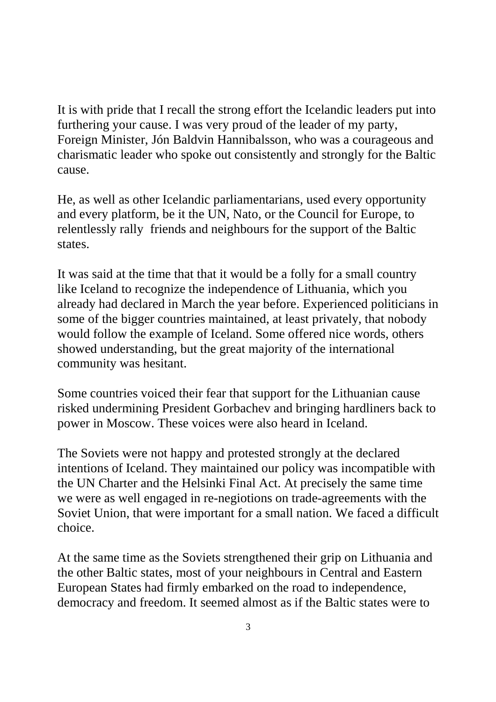It is with pride that I recall the strong effort the Icelandic leaders put into furthering your cause. I was very proud of the leader of my party, Foreign Minister, Jón Baldvin Hannibalsson, who was a courageous and charismatic leader who spoke out consistently and strongly for the Baltic cause.

He, as well as other Icelandic parliamentarians, used every opportunity and every platform, be it the UN, Nato, or the Council for Europe, to relentlessly rally friends and neighbours for the support of the Baltic states.

It was said at the time that that it would be a folly for a small country like Iceland to recognize the independence of Lithuania, which you already had declared in March the year before. Experienced politicians in some of the bigger countries maintained, at least privately, that nobody would follow the example of Iceland. Some offered nice words, others showed understanding, but the great majority of the international community was hesitant.

Some countries voiced their fear that support for the Lithuanian cause risked undermining President Gorbachev and bringing hardliners back to power in Moscow. These voices were also heard in Iceland.

The Soviets were not happy and protested strongly at the declared intentions of Iceland. They maintained our policy was incompatible with the UN Charter and the Helsinki Final Act. At precisely the same time we were as well engaged in re-negiotions on trade-agreements with the Soviet Union, that were important for a small nation. We faced a difficult choice.

At the same time as the Soviets strengthened their grip on Lithuania and the other Baltic states, most of your neighbours in Central and Eastern European States had firmly embarked on the road to independence, democracy and freedom. It seemed almost as if the Baltic states were to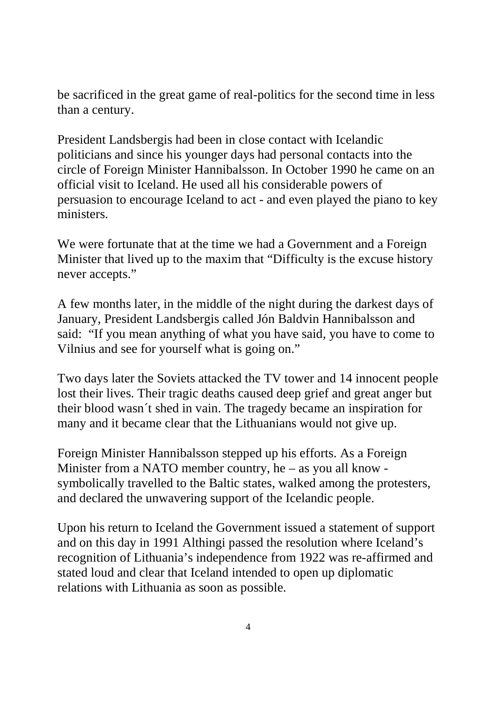be sacrificed in the great game of real-politics for the second time in less than a century.

President Landsbergis had been in close contact with Icelandic politicians and since his younger days had personal contacts into the circle of Foreign Minister Hannibalsson. In October 1990 he came on an official visit to Iceland. He used all his considerable powers of persuasion to encourage Iceland to act - and even played the piano to key ministers.

We were fortunate that at the time we had a Government and a Foreign Minister that lived up to the maxim that "Difficulty is the excuse history never accepts."

A few months later, in the middle of the night during the darkest days of January, President Landsbergis called Jón Baldvin Hannibalsson and said: "If you mean anything of what you have said, you have to come to Vilnius and see for yourself what is going on."

Two days later the Soviets attacked the TV tower and 14 innocent people lost their lives. Their tragic deaths caused deep grief and great anger but their blood wasn´t shed in vain. The tragedy became an inspiration for many and it became clear that the Lithuanians would not give up.

Foreign Minister Hannibalsson stepped up his efforts. As a Foreign Minister from a NATO member country, he – as you all know symbolically travelled to the Baltic states, walked among the protesters, and declared the unwavering support of the Icelandic people.

Upon his return to Iceland the Government issued a statement of support and on this day in 1991 Althingi passed the resolution where Iceland's recognition of Lithuania's independence from 1922 was re-affirmed and stated loud and clear that Iceland intended to open up diplomatic relations with Lithuania as soon as possible.